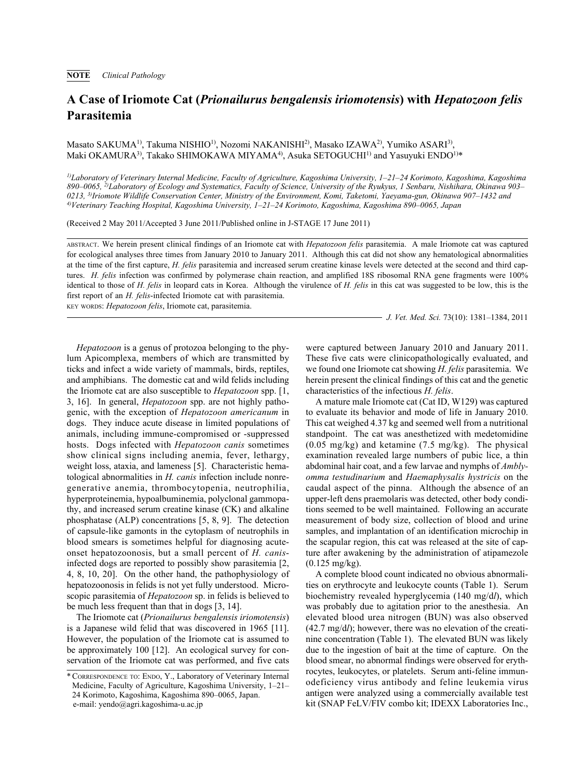## **A Case of Iriomote Cat (***Prionailurus bengalensis iriomotensis***) with** *Hepatozoon felis* **Parasitemia**

Masato SAKUMA1), Takuma NISHIO1), Nozomi NAKANISHI2), Masako IZAWA2), Yumiko ASARI3), Maki OKAMURA<sup>3)</sup>, Takako SHIMOKAWA MIYAMA<sup>4)</sup>, Asuka SETOGUCHI<sup>1)</sup> and Yasuyuki ENDO<sup>1)\*</sup>

*1)Laboratory of Veterinary Internal Medicine, Faculty of Agriculture, Kagoshima University, 1–21–24 Korimoto, Kagoshima, Kagoshima 890–0065, 2)Laboratory of Ecology and Systematics, Faculty of Science, University of the Ryukyus, 1 Senbaru, Nishihara, Okinawa 903– 0213, 3)Iriomote Wildlife Conservation Center, Ministry of the Environment, Komi, Taketomi, Yaeyama-gun, Okinawa 907–1432 and 4)Veterinary Teaching Hospital, Kagoshima University, 1–21–24 Korimoto, Kagoshima, Kagoshima 890–0065, Japan*

(Received 2 May 2011/Accepted 3 June 2011/Published online in J-STAGE 17 June 2011)

ABSTRACT. We herein present clinical findings of an Iriomote cat with *Hepatozoon felis* parasitemia. A male Iriomote cat was captured for ecological analyses three times from January 2010 to January 2011. Although this cat did not show any hematological abnormalities at the time of the first capture, *H. felis* parasitemia and increased serum creatine kinase levels were detected at the second and third captures. *H. felis* infection was confirmed by polymerase chain reaction, and amplified 18S ribosomal RNA gene fragments were 100% identical to those of *H. felis* in leopard cats in Korea. Although the virulence of *H. felis* in this cat was suggested to be low, this is the first report of an *H. felis*-infected Iriomote cat with parasitemia.

KEY WORDS: *Hepatozoon felis*, Iriomote cat, parasitemia.

*J. Vet. Med. Sci.* 73(10): 1381–1384, 2011

*Hepatozoon* is a genus of protozoa belonging to the phylum Apicomplexa, members of which are transmitted by ticks and infect a wide variety of mammals, birds, reptiles, and amphibians. The domestic cat and wild felids including the Iriomote cat are also susceptible to *Hepatozoon* spp. [1, 3, 16]. In general, *Hepatozoon* spp. are not highly pathogenic, with the exception of *Hepatozoon americanum* in dogs. They induce acute disease in limited populations of animals, including immune-compromised or -suppressed hosts. Dogs infected with *Hepatozoon canis* sometimes show clinical signs including anemia, fever, lethargy, weight loss, ataxia, and lameness [5]. Characteristic hematological abnormalities in *H. canis* infection include nonregenerative anemia, thrombocytopenia, neutrophilia, hyperproteinemia, hypoalbuminemia, polyclonal gammopathy, and increased serum creatine kinase (CK) and alkaline phosphatase (ALP) concentrations [5, 8, 9]. The detection of capsule-like gamonts in the cytoplasm of neutrophils in blood smears is sometimes helpful for diagnosing acuteonset hepatozoonosis, but a small percent of *H. canis*infected dogs are reported to possibly show parasitemia [2, 4, 8, 10, 20]. On the other hand, the pathophysiology of hepatozoonosis in felids is not yet fully understood. Microscopic parasitemia of *Hepatozoon* sp. in felids is believed to be much less frequent than that in dogs [3, 14].

The Iriomote cat (*Prionailurus bengalensis iriomotensis*) is a Japanese wild felid that was discovered in 1965 [11]. However, the population of the Iriomote cat is assumed to be approximately 100 [12]. An ecological survey for conservation of the Iriomote cat was performed, and five cats were captured between January 2010 and January 2011. These five cats were clinicopathologically evaluated, and we found one Iriomote cat showing *H. felis* parasitemia. We herein present the clinical findings of this cat and the genetic characteristics of the infectious *H. felis*.

A mature male Iriomote cat (Cat ID, W129) was captured to evaluate its behavior and mode of life in January 2010. This cat weighed 4.37 kg and seemed well from a nutritional standpoint. The cat was anesthetized with medetomidine (0.05 mg/kg) and ketamine (7.5 mg/kg). The physical examination revealed large numbers of pubic lice, a thin abdominal hair coat, and a few larvae and nymphs of *Amblyomma testudinarium* and *Haemaphysalis hystricis* on the caudal aspect of the pinna. Although the absence of an upper-left dens praemolaris was detected, other body conditions seemed to be well maintained. Following an accurate measurement of body size, collection of blood and urine samples, and implantation of an identification microchip in the scapular region, this cat was released at the site of capture after awakening by the administration of atipamezole (0.125 mg/kg).

A complete blood count indicated no obvious abnormalities on erythrocyte and leukocyte counts (Table 1). Serum biochemistry revealed hyperglycemia (140 mg/d*l*), which was probably due to agitation prior to the anesthesia. An elevated blood urea nitrogen (BUN) was also observed (42.7 mg/d*l*); however, there was no elevation of the creatinine concentration (Table 1). The elevated BUN was likely due to the ingestion of bait at the time of capture. On the blood smear, no abnormal findings were observed for erythrocytes, leukocytes, or platelets. Serum anti-feline immunodeficiency virus antibody and feline leukemia virus antigen were analyzed using a commercially available test kit (SNAP FeLV/FIV combo kit; IDEXX Laboratories Inc.,

<sup>\*</sup> CORRESPONDENCE TO: ENDO, Y., Laboratory of Veterinary Internal Medicine, Faculty of Agriculture, Kagoshima University, 1–21– 24 Korimoto, Kagoshima, Kagoshima 890–0065, Japan. e-mail: yendo@agri.kagoshima-u.ac.jp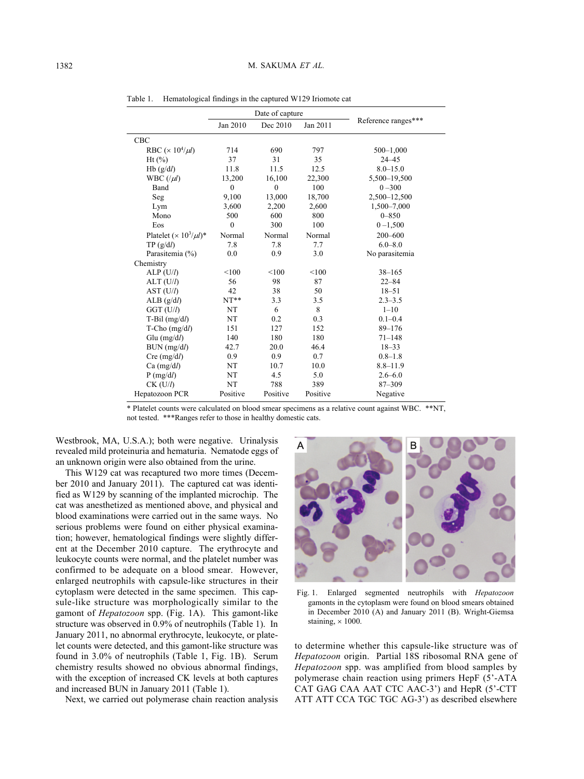|                                                   | Date of capture |              |          |                     |
|---------------------------------------------------|-----------------|--------------|----------|---------------------|
|                                                   | Jan 2010        | Dec 2010     | Jan 2011 | Reference ranges*** |
| <b>CBC</b>                                        |                 |              |          |                     |
| RBC ( $\times$ 10 <sup>4</sup> / $\mu$ <i>l</i> ) | 714             | 690          | 797      | $500 - 1,000$       |
| $Ht$ $(\%)$                                       | 37              | 31           | 35       | $24 - 45$           |
| Hb(g/dl)                                          | 11.8            | 11.5         | 12.5     | $8.0 - 15.0$        |
| WBC $($ / $\mu$ l)                                | 13,200          | 16,100       | 22,300   | 5,500-19,500        |
| Band                                              | $\mathbf{0}$    | $\mathbf{0}$ | 100      | $0 - 300$           |
| Seg                                               | 9,100           | 13,000       | 18,700   | 2,500-12,500        |
| Lym                                               | 3,600           | 2,200        | 2,600    | 1,500-7,000         |
| Mono                                              | 500             | 600          | 800      | $0 - 850$           |
| Eos                                               | $\mathbf{0}$    | 300          | 100      | $0 - 1,500$         |
| Platelet $(\times 10^3/\mu l)^*$                  | Normal          | Normal       | Normal   | 200-600             |
| TP(g/dl)                                          | 7.8             | 7.8          | 7.7      | $6.0 - 8.0$         |
| Parasitemia (%)                                   | 0.0             | 0.9          | 3.0      | No parasitemia      |
| Chemistry                                         |                 |              |          |                     |
| ALP(U/l)                                          | < 100           | < 100        | < 100    | $38 - 165$          |
| $ALT$ (U/l)                                       | 56              | 98           | 87       | $22 - 84$           |
| AST (U/l)                                         | 42              | 38           | 50       | $18 - 51$           |
| ALB(g/dl)                                         | $NT**$          | 3.3          | 3.5      | $2.3 - 3.5$         |
| $GGT$ (U/l)                                       | NT              | 6            | 8        | $1 - 10$            |
| $T-Bil$ (mg/dl)                                   | NT              | 0.2          | 0.3      | $0.1 - 0.4$         |
| $T$ -Cho (mg/d <i>l</i> )                         | 151             | 127          | 152      | $89 - 176$          |
| $Glu$ (mg/d/)                                     | 140             | 180          | 180      | $71 - 148$          |
| BUN (mg/dl)                                       | 42.7            | 20.0         | 46.4     | $18 - 33$           |
| $Cre \ (mg/dl)$                                   | 0.9             | 0.9          | 0.7      | $0.8 - 1.8$         |
| $Ca$ (mg/dl)                                      | NT              | 10.7         | 10.0     | $8.8 - 11.9$        |
| $P$ (mg/dl)                                       | NT              | 4.5          | 5.0      | $2.6 - 6.0$         |
| $CK$ (U/l)                                        | NT              | 788          | 389      | 87-309              |
| Hepatozoon PCR                                    | Positive        | Positive     | Positive | Negative            |

Table 1. Hematological findings in the captured W129 Iriomote cat

\* Platelet counts were calculated on blood smear specimens as a relative count against WBC. \*\*NT, not tested. \*\*\*Ranges refer to those in healthy domestic cats.

Westbrook, MA, U.S.A.); both were negative. Urinalysis revealed mild proteinuria and hematuria. Nematode eggs of an unknown origin were also obtained from the urine.

This W129 cat was recaptured two more times (December 2010 and January 2011). The captured cat was identified as W129 by scanning of the implanted microchip. The cat was anesthetized as mentioned above, and physical and blood examinations were carried out in the same ways. No serious problems were found on either physical examination; however, hematological findings were slightly different at the December 2010 capture. The erythrocyte and leukocyte counts were normal, and the platelet number was confirmed to be adequate on a blood smear. However, enlarged neutrophils with capsule-like structures in their cytoplasm were detected in the same specimen. This capsule-like structure was morphologically similar to the gamont of *Hepatozoon* spp. (Fig. 1A). This gamont-like structure was observed in 0.9% of neutrophils (Table 1). In January 2011, no abnormal erythrocyte, leukocyte, or platelet counts were detected, and this gamont-like structure was found in 3.0% of neutrophils (Table 1, Fig. 1B). Serum chemistry results showed no obvious abnormal findings, with the exception of increased CK levels at both captures and increased BUN in January 2011 (Table 1).

Next, we carried out polymerase chain reaction analysis



Fig. 1. Enlarged segmented neutrophils with *Hepatozoon* gamonts in the cytoplasm were found on blood smears obtained in December 2010 (A) and January 2011 (B). Wright-Giemsa staining,  $\times$  1000.

to determine whether this capsule-like structure was of *Hepatozoon* origin. Partial 18S ribosomal RNA gene of *Hepatozoon* spp. was amplified from blood samples by polymerase chain reaction using primers HepF (5'-ATA CAT GAG CAA AAT CTC AAC-3') and HepR (5'-CTT ATT ATT CCA TGC TGC AG-3') as described elsewhere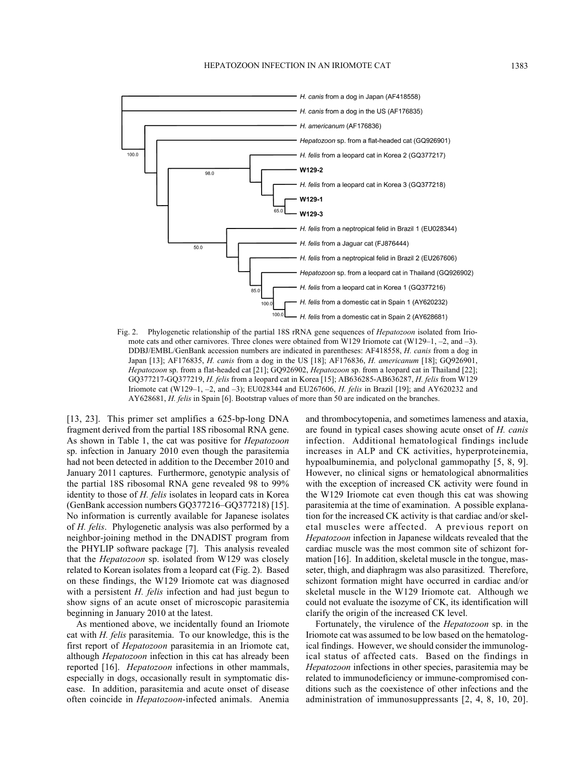

Fig. 2. Phylogenetic relationship of the partial 18S rRNA gene sequences of *Hepatozoon* isolated from Iriomote cats and other carnivores. Three clones were obtained from W129 Iriomote cat (W129–1, –2, and –3). DDBJ/EMBL/GenBank accession numbers are indicated in parentheses: AF418558, *H. canis* from a dog in Japan [13]; AF176835, *H. canis* from a dog in the US [18]; AF176836, *H. americanum* [18]; GQ926901, *Hepatozoon* sp. from a flat-headed cat [21]; GQ926902, *Hepatozoon* sp. from a leopard cat in Thailand [22]; GQ377217-GQ377219, *H. felis* from a leopard cat in Korea [15]; AB636285-AB636287, *H. felis* from W129 Iriomote cat (W129–1, –2, and –3); EU028344 and EU267606, *H. felis* in Brazil [19]; and AY620232 and AY628681, *H. felis* in Spain [6]. Bootstrap values of more than 50 are indicated on the branches.

[13, 23]. This primer set amplifies a 625-bp-long DNA fragment derived from the partial 18S ribosomal RNA gene. As shown in Table 1, the cat was positive for *Hepatozoon* sp. infection in January 2010 even though the parasitemia had not been detected in addition to the December 2010 and January 2011 captures. Furthermore, genotypic analysis of the partial 18S ribosomal RNA gene revealed 98 to 99% identity to those of *H. felis* isolates in leopard cats in Korea (GenBank accession numbers GQ377216–GQ377218) [15]. No information is currently available for Japanese isolates of *H. felis*. Phylogenetic analysis was also performed by a neighbor-joining method in the DNADIST program from the PHYLIP software package [7]. This analysis revealed that the *Hepatozoon* sp. isolated from W129 was closely related to Korean isolates from a leopard cat (Fig. 2). Based on these findings, the W129 Iriomote cat was diagnosed with a persistent *H. felis* infection and had just begun to show signs of an acute onset of microscopic parasitemia beginning in January 2010 at the latest.

As mentioned above, we incidentally found an Iriomote cat with *H. felis* parasitemia. To our knowledge, this is the first report of *Hepatozoon* parasitemia in an Iriomote cat, although *Hepatozoon* infection in this cat has already been reported [16]. *Hepatozoon* infections in other mammals, especially in dogs, occasionally result in symptomatic disease. In addition, parasitemia and acute onset of disease often coincide in *Hepatozoon*-infected animals. Anemia and thrombocytopenia, and sometimes lameness and ataxia, are found in typical cases showing acute onset of *H. canis* infection. Additional hematological findings include increases in ALP and CK activities, hyperproteinemia, hypoalbuminemia, and polyclonal gammopathy [5, 8, 9]. However, no clinical signs or hematological abnormalities with the exception of increased CK activity were found in the W129 Iriomote cat even though this cat was showing parasitemia at the time of examination. A possible explanation for the increased CK activity is that cardiac and/or skeletal muscles were affected. A previous report on *Hepatozoon* infection in Japanese wildcats revealed that the cardiac muscle was the most common site of schizont formation [16]. In addition, skeletal muscle in the tongue, masseter, thigh, and diaphragm was also parasitized. Therefore, schizont formation might have occurred in cardiac and/or skeletal muscle in the W129 Iriomote cat. Although we could not evaluate the isozyme of CK, its identification will clarify the origin of the increased CK level.

Fortunately, the virulence of the *Hepatozoon* sp. in the Iriomote cat was assumed to be low based on the hematological findings. However, we should consider the immunological status of affected cats. Based on the findings in *Hepatozoon* infections in other species, parasitemia may be related to immunodeficiency or immune-compromised conditions such as the coexistence of other infections and the administration of immunosuppressants [2, 4, 8, 10, 20].